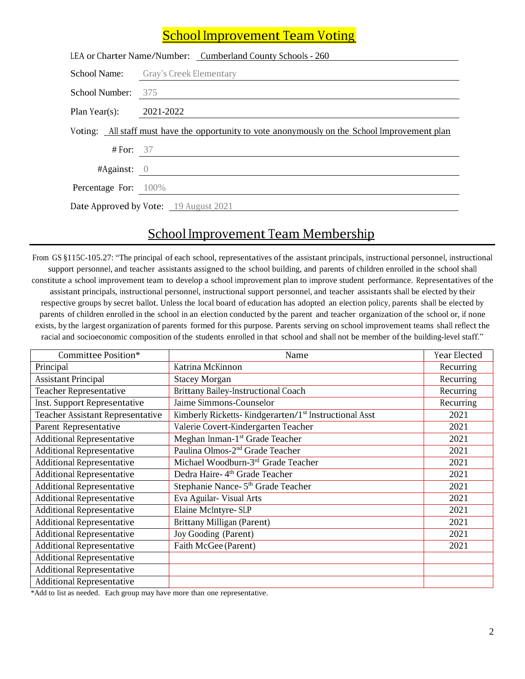## **School Improvement Team Voting**

| LEA or Charter Name/Number: Cumberland County Schools - 260                                    |                                             |  |  |  |
|------------------------------------------------------------------------------------------------|---------------------------------------------|--|--|--|
|                                                                                                | <b>School Name:</b> Gray's Creek Elementary |  |  |  |
| School Number: 375                                                                             |                                             |  |  |  |
| Plan Year(s):                                                                                  | 2021-2022                                   |  |  |  |
| Voting: All staff must have the opportunity to vote anonymously on the School Improvement plan |                                             |  |  |  |
| # For: $37$                                                                                    |                                             |  |  |  |
| $#Again$ st: 0                                                                                 |                                             |  |  |  |
| <b>Percentage For:</b> 100%                                                                    |                                             |  |  |  |
|                                                                                                | Date Approved by Vote: 19 August 2021       |  |  |  |

## School Improvement Team Membership

From GS §115C-105.27: "The principal of each school, representatives of the assistant principals, instructional personnel, instructional support personnel, and teacher assistants assigned to the school building, and parents of children enrolled in the school shall constitute a school improvement team to develop a school improvement plan to improve student performance. Representatives of the assistant principals, instructional personnel, instructional support personnel, and teacher assistants shall be elected by their respective groups by secret ballot. Unless the local board of education has adopted an election policy, parents shall be elected by parents of children enrolled in the school in an election conducted by the parent and teacher organization of the school or, if none exists, by the largest organization of parents formed for this purpose. Parents serving on school improvement teams shall reflect the racial and socioeconomic composition of the students enrolled in that school and shall not be member of the building-level staff."

| Committee Position*              | Name                                                              | Year Elected |
|----------------------------------|-------------------------------------------------------------------|--------------|
| Principal                        | Katrina McKinnon                                                  | Recurring    |
| <b>Assistant Principal</b>       | <b>Stacey Morgan</b>                                              | Recurring    |
| <b>Teacher Representative</b>    | <b>Brittany Bailey-Instructional Coach</b>                        | Recurring    |
| Inst. Support Representative     | Jaime Simmons-Counselor                                           | Recurring    |
| Teacher Assistant Representative | Kimberly Ricketts-Kindgerarten/1 <sup>st</sup> Instructional Asst | 2021         |
| Parent Representative            | Valerie Covert-Kindergarten Teacher                               | 2021         |
| <b>Additional Representative</b> | Meghan Inman-1 <sup>st</sup> Grade Teacher                        | 2021         |
| <b>Additional Representative</b> | Paulina Olmos-2 <sup>nd</sup> Grade Teacher                       | 2021         |
| <b>Additional Representative</b> | Michael Woodburn-3rd Grade Teacher                                | 2021         |
| <b>Additional Representative</b> | Dedra Haire-4 <sup>th</sup> Grade Teacher                         | 2021         |
| <b>Additional Representative</b> | Stephanie Nance- 5 <sup>th</sup> Grade Teacher                    | 2021         |
| <b>Additional Representative</b> | Eva Aguilar- Visual Arts                                          | 2021         |
| <b>Additional Representative</b> | Elaine McIntyre- SLP                                              | 2021         |
| <b>Additional Representative</b> | Brittany Milligan (Parent)                                        | 2021         |
| <b>Additional Representative</b> | Joy Gooding (Parent)                                              | 2021         |
| <b>Additional Representative</b> | Faith McGee (Parent)                                              | 2021         |
| <b>Additional Representative</b> |                                                                   |              |
| <b>Additional Representative</b> |                                                                   |              |
| <b>Additional Representative</b> |                                                                   |              |

\*Add to list as needed. Each group may have more than one representative.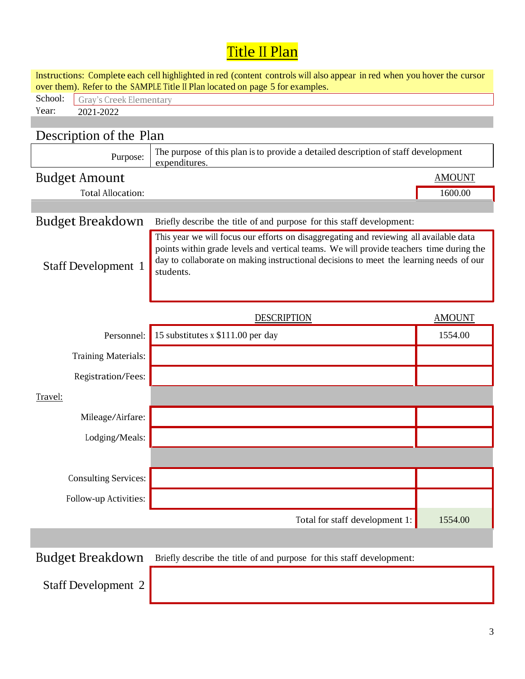## Title II Plan

| Instructions: Complete each cell highlighted in red (content controls will also appear in red when you hover the cursor<br>over them). Refer to the SAMPLE Title II Plan located on page 5 for examples. |                                                                                                                                                                                                                                                                                          |               |  |  |  |  |
|----------------------------------------------------------------------------------------------------------------------------------------------------------------------------------------------------------|------------------------------------------------------------------------------------------------------------------------------------------------------------------------------------------------------------------------------------------------------------------------------------------|---------------|--|--|--|--|
| School:<br>Gray's Creek Elementary                                                                                                                                                                       |                                                                                                                                                                                                                                                                                          |               |  |  |  |  |
| Year:<br>2021-2022                                                                                                                                                                                       |                                                                                                                                                                                                                                                                                          |               |  |  |  |  |
|                                                                                                                                                                                                          |                                                                                                                                                                                                                                                                                          |               |  |  |  |  |
| Description of the Plan                                                                                                                                                                                  |                                                                                                                                                                                                                                                                                          |               |  |  |  |  |
| Purpose:                                                                                                                                                                                                 | The purpose of this plan is to provide a detailed description of staff development<br>expenditures.                                                                                                                                                                                      |               |  |  |  |  |
| <b>Budget Amount</b>                                                                                                                                                                                     |                                                                                                                                                                                                                                                                                          | <b>AMOUNT</b> |  |  |  |  |
| <b>Total Allocation:</b>                                                                                                                                                                                 |                                                                                                                                                                                                                                                                                          | 1600.00       |  |  |  |  |
|                                                                                                                                                                                                          |                                                                                                                                                                                                                                                                                          |               |  |  |  |  |
| <b>Budget Breakdown</b>                                                                                                                                                                                  | Briefly describe the title of and purpose for this staff development:                                                                                                                                                                                                                    |               |  |  |  |  |
| <b>Staff Development 1</b>                                                                                                                                                                               | This year we will focus our efforts on disaggregating and reviewing all available data<br>points within grade levels and vertical teams. We will provide teachers time during the<br>day to collaborate on making instructional decisions to meet the learning needs of our<br>students. |               |  |  |  |  |
|                                                                                                                                                                                                          | <b>DESCRIPTION</b>                                                                                                                                                                                                                                                                       | <b>AMOUNT</b> |  |  |  |  |
| Personnel:                                                                                                                                                                                               | 15 substitutes x \$111.00 per day                                                                                                                                                                                                                                                        | 1554.00       |  |  |  |  |
| <b>Training Materials:</b>                                                                                                                                                                               |                                                                                                                                                                                                                                                                                          |               |  |  |  |  |
| Registration/Fees:                                                                                                                                                                                       |                                                                                                                                                                                                                                                                                          |               |  |  |  |  |
| Travel:                                                                                                                                                                                                  |                                                                                                                                                                                                                                                                                          |               |  |  |  |  |
| Mileage/Airfare:                                                                                                                                                                                         |                                                                                                                                                                                                                                                                                          |               |  |  |  |  |
| Lodging/Meals:                                                                                                                                                                                           |                                                                                                                                                                                                                                                                                          |               |  |  |  |  |
|                                                                                                                                                                                                          |                                                                                                                                                                                                                                                                                          |               |  |  |  |  |
| <b>Consulting Services:</b>                                                                                                                                                                              |                                                                                                                                                                                                                                                                                          |               |  |  |  |  |
| Follow-up Activities:                                                                                                                                                                                    |                                                                                                                                                                                                                                                                                          |               |  |  |  |  |
|                                                                                                                                                                                                          | Total for staff development 1:                                                                                                                                                                                                                                                           | 1554.00       |  |  |  |  |
|                                                                                                                                                                                                          |                                                                                                                                                                                                                                                                                          |               |  |  |  |  |
| <b>Budget Breakdown</b>                                                                                                                                                                                  | Briefly describe the title of and purpose for this staff development:                                                                                                                                                                                                                    |               |  |  |  |  |
| <b>Staff Development 2</b>                                                                                                                                                                               |                                                                                                                                                                                                                                                                                          |               |  |  |  |  |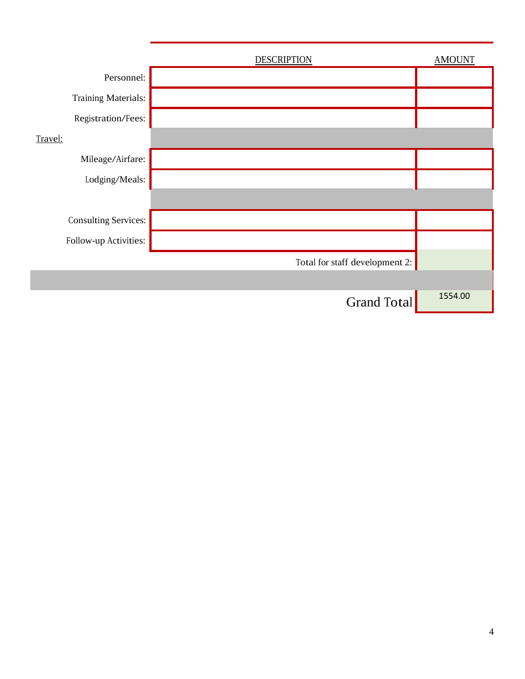|                       | <b>DESCRIPTION</b>             | <b>AMOUNT</b> |
|-----------------------|--------------------------------|---------------|
| Personnel:            |                                |               |
| Training Materials:   |                                |               |
| Registration/Fees:    |                                |               |
| Travel:               |                                |               |
| Mileage/Airfare:      |                                |               |
| Lodging/Meals:        |                                |               |
|                       |                                |               |
| Consulting Services:  |                                |               |
| Follow-up Activities: |                                |               |
|                       | Total for staff development 2: |               |
|                       |                                |               |
|                       | <b>Grand Total</b>             | 1554.00       |